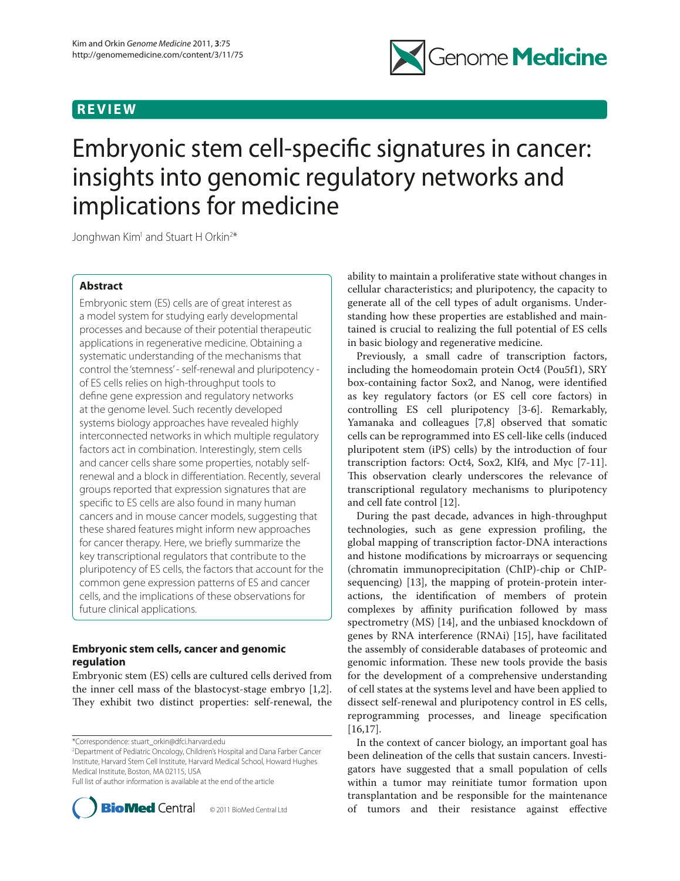# **REVIEW**



# Embryonic stem cell-specific signatures in cancer: insights into genomic regulatory networks and implications for medicine

Jonghwan Kim<sup>1</sup> and Stuart H Orkin<sup>2\*</sup>

# **Abstract**

Embryonic stem (ES) cells are of great interest as a model system for studying early developmental processes and because of their potential therapeutic applications in regenerative medicine. Obtaining a systematic understanding of the mechanisms that control the 'stemness' - self-renewal and pluripotency of ES cells relies on high-throughput tools to define gene expression and regulatory networks at the genome level. Such recently developed systems biology approaches have revealed highly interconnected networks in which multiple regulatory factors act in combination. Interestingly, stem cells and cancer cells share some properties, notably selfrenewal and a block in differentiation. Recently, several groups reported that expression signatures that are specific to ES cells are also found in many human cancers and in mouse cancer models, suggesting that these shared features might inform new approaches for cancer therapy. Here, we briefly summarize the key transcriptional regulators that contribute to the pluripotency of ES cells, the factors that account for the common gene expression patterns of ES and cancer cells, and the implications of these observations for future clinical applications.

# **Embryonic stem cells, cancer and genomic regulation**

Embryonic stem (ES) cells are cultured cells derived from the inner cell mass of the blastocyst-stage embryo [1,2]. They exhibit two distinct properties: self-renewal, the

\*Correspondence: stuart\_orkin@dfci.harvard.edu

2 Department of Pediatric Oncology, Children's Hospital and Dana Farber Cancer Institute, Harvard Stem Cell Institute, Harvard Medical School, Howard Hughes Medical Institute, Boston, MA 02115, USA Full list of author information is available at the end of the article





ability to maintain a proliferative state without changes in cellular characteristics; and pluripotency, the capacity to generate all of the cell types of adult organisms. Understanding how these properties are established and maintained is crucial to realizing the full potential of ES cells in basic biology and regenerative medicine.

Previously, a small cadre of transcription factors, including the homeodomain protein Oct4 (Pou5f1), SRY box-containing factor Sox2, and Nanog, were identified as key regulatory factors (or ES cell core factors) in controlling ES cell pluripotency [3-6]. Remarkably, Yamanaka and colleagues [7,8] observed that somatic cells can be reprogrammed into ES cell-like cells (induced pluripotent stem (iPS) cells) by the introduction of four transcription factors: Oct4, Sox2, Klf4, and Myc [7-11]. This observation clearly underscores the relevance of transcriptional regulatory mechanisms to pluripotency and cell fate control [12].

During the past decade, advances in high-throughput technologies, such as gene expression profiling, the global mapping of transcription factor-DNA interactions and histone modifications by microarrays or sequencing (chromatin immunoprecipitation (ChIP)-chip or ChIPsequencing) [13], the mapping of protein-protein interactions, the identification of members of protein complexes by affinity purification followed by mass spectrometry (MS) [14], and the unbiased knockdown of genes by RNA interference (RNAi) [15], have facilitated the assembly of considerable databases of proteomic and genomic information. These new tools provide the basis for the development of a comprehensive understanding of cell states at the systems level and have been applied to dissect self-renewal and pluripotency control in ES cells, reprogramming processes, and lineage specification [16,17].

In the context of cancer biology, an important goal has been delineation of the cells that sustain cancers. Investigators have suggested that a small population of cells within a tumor may reinitiate tumor formation upon transplantation and be responsible for the maintenance of tumors and their resistance against effective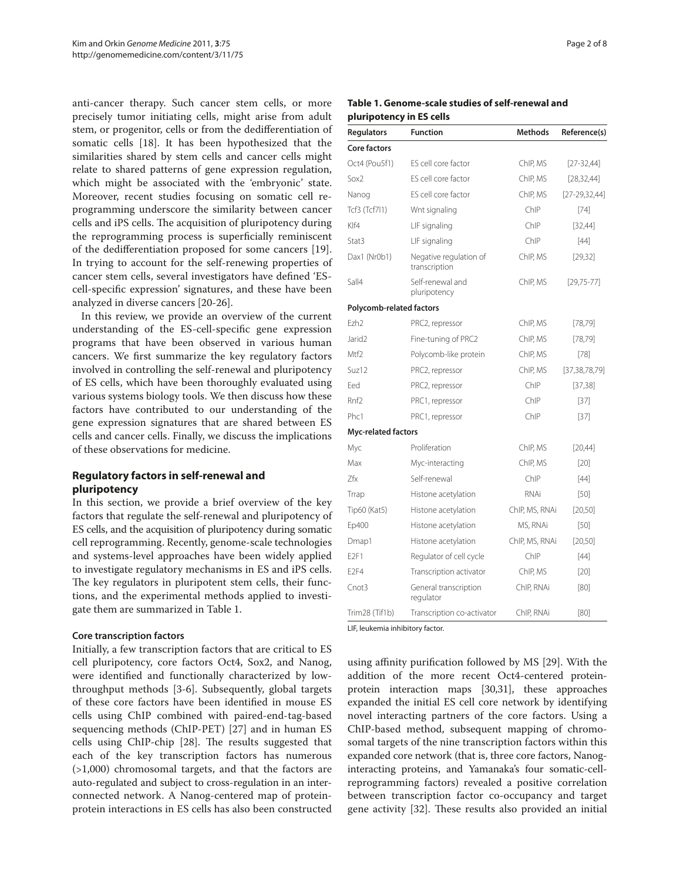anti-cancer therapy. Such cancer stem cells, or more precisely tumor initiating cells, might arise from adult stem, or progenitor, cells or from the dedifferentiation of somatic cells [18]. It has been hypothesized that the similarities shared by stem cells and cancer cells might relate to shared patterns of gene expression regulation, which might be associated with the 'embryonic' state. Moreover, recent studies focusing on somatic cell reprogramming underscore the similarity between cancer cells and iPS cells. The acquisition of pluripotency during the reprogramming process is superficially reminiscent of the dedifferentiation proposed for some cancers [19]. In trying to account for the self-renewing properties of cancer stem cells, several investigators have defined 'EScell-specific expression' signatures, and these have been analyzed in diverse cancers [20-26].

In this review, we provide an overview of the current understanding of the ES-cell-specific gene expression programs that have been observed in various human cancers. We first summarize the key regulatory factors involved in controlling the self-renewal and pluripotency of ES cells, which have been thoroughly evaluated using various systems biology tools. We then discuss how these factors have contributed to our understanding of the gene expression signatures that are shared between ES cells and cancer cells. Finally, we discuss the implications of these observations for medicine.

# **Regulatory factors in self-renewal and pluripotency**

In this section, we provide a brief overview of the key factors that regulate the self-renewal and pluripotency of ES cells, and the acquisition of pluripotency during somatic cell reprogramming. Recently, genome-scale technologies and systems-level approaches have been widely applied to investigate regulatory mechanisms in ES and iPS cells. The key regulators in pluripotent stem cells, their functions, and the experimental methods applied to investigate them are summarized in Table 1.

# **Core transcription factors**

Initially, a few transcription factors that are critical to ES cell pluripotency, core factors Oct4, Sox2, and Nanog, were identified and functionally characterized by lowthroughput methods [3-6]. Subsequently, global targets of these core factors have been identified in mouse ES cells using ChIP combined with paired-end-tag-based sequencing methods (ChIP-PET) [27] and in human ES cells using ChIP-chip [28]. The results suggested that each of the key transcription factors has numerous (>1,000) chromosomal targets, and that the factors are auto-regulated and subject to cross-regulation in an interconnected network. A Nanog-centered map of proteinprotein interactions in ES cells has also been constructed

# **Table 1. Genome-scale studies of self-renewal and pluripotency in ES cells**

| Regulators                 | <b>Function</b>                         | Methods        | Reference(s)     |  |
|----------------------------|-----------------------------------------|----------------|------------------|--|
| <b>Core factors</b>        |                                         |                |                  |  |
| Oct4 (Pou5f1)              | ES cell core factor                     | ChIP, MS       | $[27-32,44]$     |  |
| Sox <sub>2</sub>           | ES cell core factor                     | ChIP, MS       | [28, 32, 44]     |  |
| Nanog                      | ES cell core factor                     | ChIP, MS       | $[27-29,32,44]$  |  |
| Tcf3 (Tcf711)              | Wnt signaling                           | ChIP           | $[74]$           |  |
| KIf4                       | LIF signaling                           | ChIP           | [32,44]          |  |
| Stat3                      | LIF signaling                           | ChIP           | $[44]$           |  |
| Dax1 (Nr0b1)               | Negative regulation of<br>transcription | ChIP, MS       | [29,32]          |  |
| Sall4                      | Self-renewal and<br>pluripotency        | ChIP, MS       | $[29, 75 - 77]$  |  |
| Polycomb-related factors   |                                         |                |                  |  |
| Ezh <sub>2</sub>           | PRC2, repressor                         | ChIP, MS       | [78, 79]         |  |
| Jarid <sub>2</sub>         | Fine-tuning of PRC2                     | ChIP, MS       | [78, 79]         |  |
| Mtf2                       | Polycomb-like protein                   | ChIP, MS       | $[78]$           |  |
| Suz12                      | PRC2, repressor                         | ChIP, MS       | [37, 38, 78, 79] |  |
| Fed                        | PRC2, repressor                         | ChIP           | [37, 38]         |  |
| Rnf <sub>2</sub>           | PRC1, repressor                         | ChIP           | [37]             |  |
| Phc1                       | PRC1, repressor                         | ChIP           | $[37]$           |  |
| <b>Myc-related factors</b> |                                         |                |                  |  |
| Myc                        | Proliferation                           | ChIP, MS       | [20,44]          |  |
| Max                        | Myc-interacting                         | ChIP, MS       | $[20]$           |  |
| 7fx                        | Self-renewal                            | ChIP           | $[44]$           |  |
| Trrap                      | Histone acetylation                     | RNAi           | $[50]$           |  |
| Tip60 (Kat5)               | Histone acetylation                     | ChIP, MS, RNAi | [20, 50]         |  |
| Ep400                      | Histone acetylation                     | MS, RNAi       | $[50]$           |  |
| Dmap1                      | Histone acetylation                     | ChIP, MS, RNAi | [20, 50]         |  |
| E2F1                       | Regulator of cell cycle                 | ChIP           | [44]             |  |
| F <sub>2F4</sub>           | Transcription activator                 | ChIP, MS       | $[20]$           |  |
| Cnot3                      | General transcription<br>regulator      | ChIP, RNAi     | [80]             |  |
| Trim28 (Tif1b)             | Transcription co-activator              | ChIP, RNAi     | [80]             |  |

LIF, leukemia inhibitory factor.

using affinity purification followed by MS [29]. With the addition of the more recent Oct4-centered proteinprotein interaction maps [30,31], these approaches expanded the initial ES cell core network by identifying novel interacting partners of the core factors. Using a ChIP-based method, subsequent mapping of chromosomal targets of the nine transcription factors within this expanded core network (that is, three core factors, Nanoginteracting proteins, and Yamanaka's four somatic-cellreprogramming factors) revealed a positive correlation between transcription factor co-occupancy and target gene activity [32]. These results also provided an initial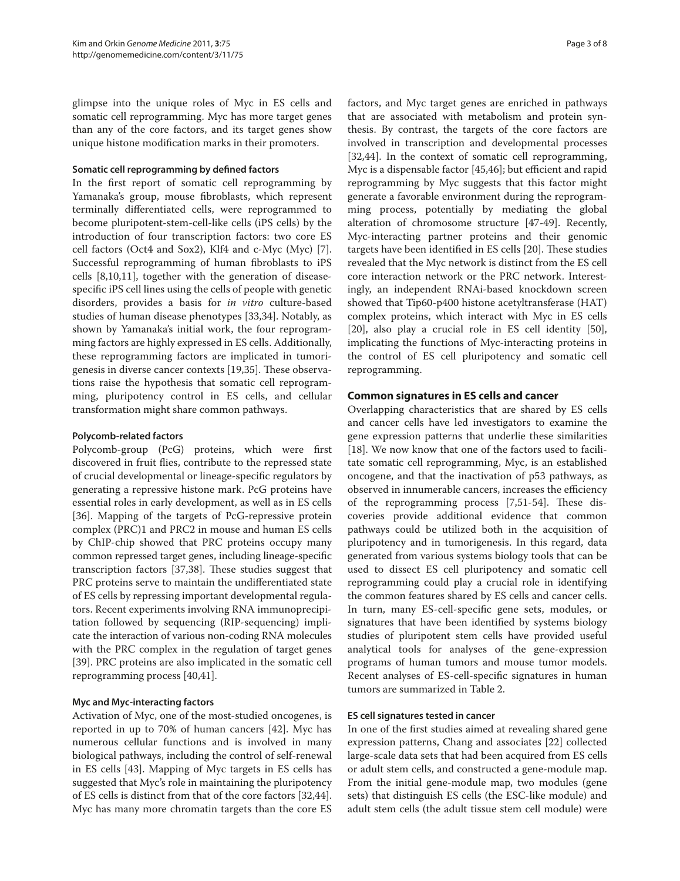glimpse into the unique roles of Myc in ES cells and somatic cell reprogramming. Myc has more target genes than any of the core factors, and its target genes show unique histone modification marks in their promoters.

## **Somatic cell reprogramming by defined factors**

In the first report of somatic cell reprogramming by Yamanaka's group, mouse fibroblasts, which represent terminally differentiated cells, were reprogrammed to become pluripotent-stem-cell-like cells (iPS cells) by the introduction of four transcription factors: two core ES cell factors (Oct4 and Sox2), Klf4 and c-Myc (Myc) [7]. Successful reprogramming of human fibroblasts to iPS cells [8,10,11], together with the generation of diseasespecific iPS cell lines using the cells of people with genetic disorders, provides a basis for *in vitro* culture-based studies of human disease phenotypes [33,34]. Notably, as shown by Yamanaka's initial work, the four reprogramming factors are highly expressed in ES cells. Additionally, these reprogramming factors are implicated in tumorigenesis in diverse cancer contexts [19,35]. These observations raise the hypothesis that somatic cell reprogramming, pluripotency control in ES cells, and cellular transformation might share common pathways.

#### **Polycomb-related factors**

Polycomb-group (PcG) proteins, which were first discovered in fruit flies, contribute to the repressed state of crucial developmental or lineage-specific regulators by generating a repressive histone mark. PcG proteins have essential roles in early development, as well as in ES cells [36]. Mapping of the targets of PcG-repressive protein complex (PRC)1 and PRC2 in mouse and human ES cells by ChIP-chip showed that PRC proteins occupy many common repressed target genes, including lineage-specific transcription factors [37,38]. These studies suggest that PRC proteins serve to maintain the undifferentiated state of ES cells by repressing important developmental regulators. Recent experiments involving RNA immunoprecipitation followed by sequencing (RIP-sequencing) implicate the interaction of various non-coding RNA molecules with the PRC complex in the regulation of target genes [39]. PRC proteins are also implicated in the somatic cell reprogramming process [40,41].

# **Myc and Myc-interacting factors**

Activation of Myc, one of the most-studied oncogenes, is reported in up to 70% of human cancers [42]. Myc has numerous cellular functions and is involved in many biological pathways, including the control of self-renewal in ES cells [43]. Mapping of Myc targets in ES cells has suggested that Myc's role in maintaining the pluripotency of ES cells is distinct from that of the core factors [32,44]. Myc has many more chromatin targets than the core ES factors, and Myc target genes are enriched in pathways that are associated with metabolism and protein synthesis. By contrast, the targets of the core factors are involved in transcription and developmental processes [32,44]. In the context of somatic cell reprogramming, Myc is a dispensable factor [45,46]; but efficient and rapid reprogramming by Myc suggests that this factor might generate a favorable environment during the reprogramming process, potentially by mediating the global alteration of chromosome structure [47-49]. Recently, Myc-interacting partner proteins and their genomic targets have been identified in ES cells [20]. These studies revealed that the Myc network is distinct from the ES cell core interaction network or the PRC network. Interestingly, an independent RNAi-based knockdown screen showed that Tip60-p400 histone acetyltransferase (HAT) complex proteins, which interact with Myc in ES cells [20], also play a crucial role in ES cell identity [50], implicating the functions of Myc-interacting proteins in the control of ES cell pluripotency and somatic cell reprogramming.

#### **Common signatures in ES cells and cancer**

Overlapping characteristics that are shared by ES cells and cancer cells have led investigators to examine the gene expression patterns that underlie these similarities [18]. We now know that one of the factors used to facilitate somatic cell reprogramming, Myc, is an established oncogene, and that the inactivation of p53 pathways, as observed in innumerable cancers, increases the efficiency of the reprogramming process [7,51-54]. These discoveries provide additional evidence that common pathways could be utilized both in the acquisition of pluripotency and in tumorigenesis. In this regard, data generated from various systems biology tools that can be used to dissect ES cell pluripotency and somatic cell reprogramming could play a crucial role in identifying the common features shared by ES cells and cancer cells. In turn, many ES-cell-specific gene sets, modules, or signatures that have been identified by systems biology studies of pluripotent stem cells have provided useful analytical tools for analyses of the gene-expression programs of human tumors and mouse tumor models. Recent analyses of ES-cell-specific signatures in human tumors are summarized in Table 2.

#### **ES cell signatures tested in cancer**

In one of the first studies aimed at revealing shared gene expression patterns, Chang and associates [22] collected large-scale data sets that had been acquired from ES cells or adult stem cells, and constructed a gene-module map. From the initial gene-module map, two modules (gene sets) that distinguish ES cells (the ESC-like module) and adult stem cells (the adult tissue stem cell module) were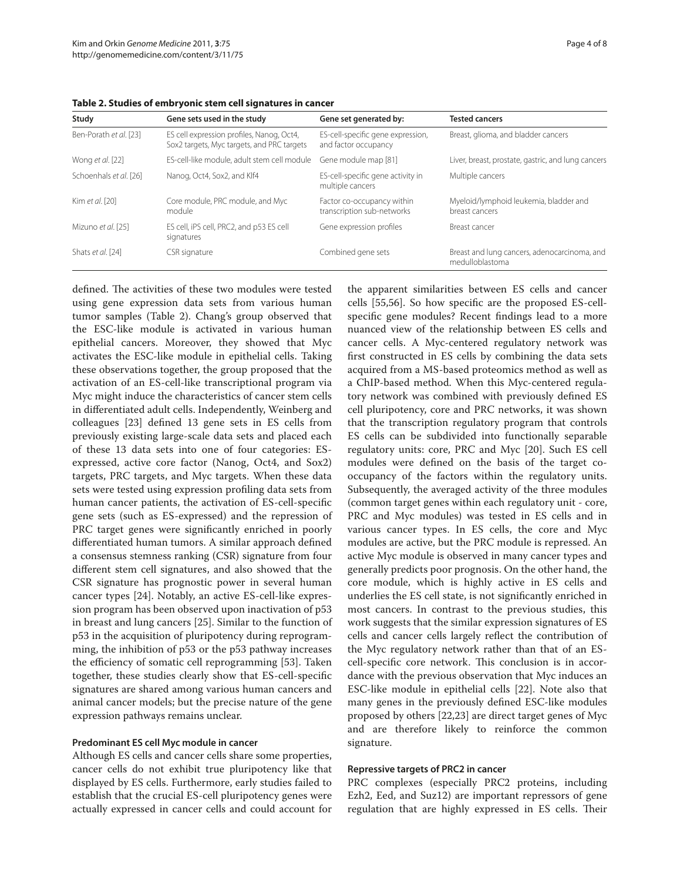| Study                  | Gene sets used in the study                                                             | Gene set generated by:                                    | <b>Tested cancers</b>                                           |
|------------------------|-----------------------------------------------------------------------------------------|-----------------------------------------------------------|-----------------------------------------------------------------|
| Ben-Porath et al. [23] | ES cell expression profiles, Nanog, Oct4,<br>Sox2 targets, Myc targets, and PRC targets | ES-cell-specific gene expression,<br>and factor occupancy | Breast, glioma, and bladder cancers                             |
| Wong et al. [22]       | ES-cell-like module, adult stem cell module                                             | Gene module map [81]                                      | Liver, breast, prostate, gastric, and lung cancers              |
| Schoenhals et al. [26] | Nanog, Oct4, Sox2, and Klf4                                                             | ES-cell-specific gene activity in<br>multiple cancers     | Multiple cancers                                                |
| Kim et al. [20]        | Core module, PRC module, and Myc<br>module                                              | Factor co-occupancy within<br>transcription sub-networks  | Myeloid/lymphoid leukemia, bladder and<br>breast cancers        |
| Mizuno et al. [25]     | ES cell, iPS cell, PRC2, and p53 ES cell<br>signatures                                  | Gene expression profiles                                  | Breast cancer                                                   |
| Shats et al. [24]      | CSR signature                                                                           | Combined gene sets                                        | Breast and lung cancers, adenocarcinoma, and<br>medulloblastoma |

**Table 2. Studies of embryonic stem cell signatures in cancer**

defined. The activities of these two modules were tested using gene expression data sets from various human tumor samples (Table 2). Chang's group observed that the ESC-like module is activated in various human epithelial cancers. Moreover, they showed that Myc activates the ESC-like module in epithelial cells. Taking these observations together, the group proposed that the activation of an ES-cell-like transcriptional program via Myc might induce the characteristics of cancer stem cells in differentiated adult cells. Independently, Weinberg and colleagues [23] defined 13 gene sets in ES cells from previously existing large-scale data sets and placed each of these 13 data sets into one of four categories: ESexpressed, active core factor (Nanog, Oct4, and Sox2) targets, PRC targets, and Myc targets. When these data sets were tested using expression profiling data sets from human cancer patients, the activation of ES-cell-specific gene sets (such as ES-expressed) and the repression of PRC target genes were significantly enriched in poorly differentiated human tumors. A similar approach defined a consensus stemness ranking (CSR) signature from four different stem cell signatures, and also showed that the CSR signature has prognostic power in several human cancer types [24]. Notably, an active ES-cell-like expression program has been observed upon inactivation of p53 in breast and lung cancers [25]. Similar to the function of p53 in the acquisition of pluripotency during reprogramming, the inhibition of p53 or the p53 pathway increases the efficiency of somatic cell reprogramming [53]. Taken together, these studies clearly show that ES-cell-specific signatures are shared among various human cancers and animal cancer models; but the precise nature of the gene expression pathways remains unclear.

## **Predominant ES cell Myc module in cancer**

Although ES cells and cancer cells share some properties, cancer cells do not exhibit true pluripotency like that displayed by ES cells. Furthermore, early studies failed to establish that the crucial ES-cell pluripotency genes were actually expressed in cancer cells and could account for the apparent similarities between ES cells and cancer cells [55,56]. So how specific are the proposed ES-cellspecific gene modules? Recent findings lead to a more nuanced view of the relationship between ES cells and cancer cells. A Myc-centered regulatory network was first constructed in ES cells by combining the data sets acquired from a MS-based proteomics method as well as a ChIP-based method. When this Myc-centered regulatory network was combined with previously defined ES cell pluripotency, core and PRC networks, it was shown that the transcription regulatory program that controls ES cells can be subdivided into functionally separable regulatory units: core, PRC and Myc [20]. Such ES cell modules were defined on the basis of the target cooccupancy of the factors within the regulatory units. Subsequently, the averaged activity of the three modules (common target genes within each regulatory unit - core, PRC and Myc modules) was tested in ES cells and in various cancer types. In ES cells, the core and Myc modules are active, but the PRC module is repressed. An active Myc module is observed in many cancer types and generally predicts poor prognosis. On the other hand, the core module, which is highly active in ES cells and underlies the ES cell state, is not significantly enriched in most cancers. In contrast to the previous studies, this work suggests that the similar expression signatures of ES cells and cancer cells largely reflect the contribution of the Myc regulatory network rather than that of an EScell-specific core network. This conclusion is in accordance with the previous observation that Myc induces an ESC-like module in epithelial cells [22]. Note also that many genes in the previously defined ESC-like modules proposed by others [22,23] are direct target genes of Myc and are therefore likely to reinforce the common signature.

#### **Repressive targets of PRC2 in cancer**

PRC complexes (especially PRC2 proteins, including Ezh2, Eed, and Suz12) are important repressors of gene regulation that are highly expressed in ES cells. Their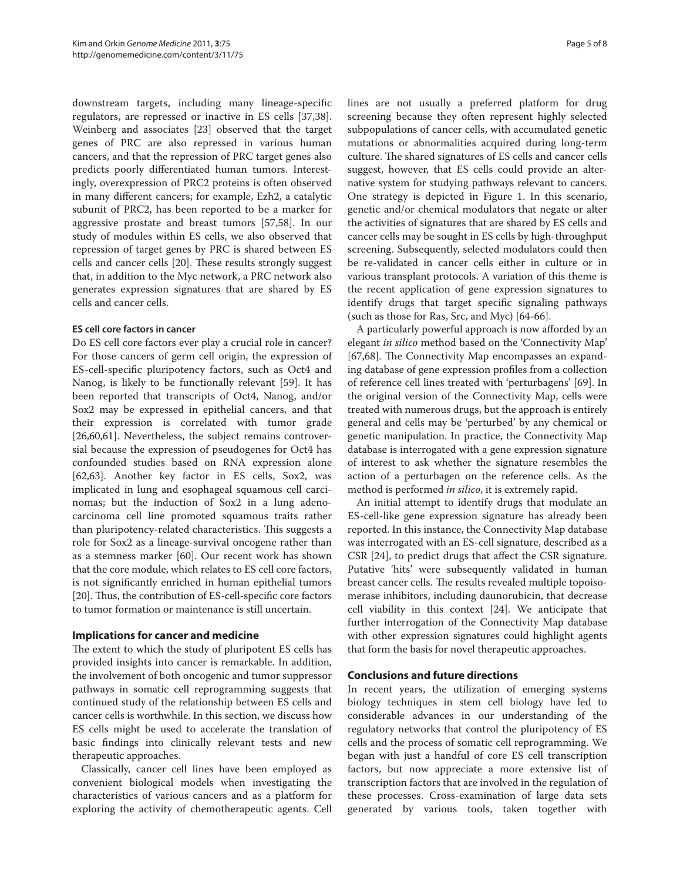downstream targets, including many lineage-specific regulators, are repressed or inactive in ES cells [37,38]. Weinberg and associates [23] observed that the target genes of PRC are also repressed in various human cancers, and that the repression of PRC target genes also predicts poorly differentiated human tumors. Interestingly, overexpression of PRC2 proteins is often observed in many different cancers; for example, Ezh2, a catalytic subunit of PRC2, has been reported to be a marker for aggressive prostate and breast tumors [57,58]. In our study of modules within ES cells, we also observed that repression of target genes by PRC is shared between ES cells and cancer cells [20]. These results strongly suggest that, in addition to the Myc network, a PRC network also generates expression signatures that are shared by ES cells and cancer cells.

# **ES cell core factors in cancer**

Do ES cell core factors ever play a crucial role in cancer? For those cancers of germ cell origin, the expression of ES-cell-specific pluripotency factors, such as Oct4 and Nanog, is likely to be functionally relevant [59]. It has been reported that transcripts of Oct4, Nanog, and/or Sox2 may be expressed in epithelial cancers, and that their expression is correlated with tumor grade [26,60,61]. Nevertheless, the subject remains controversial because the expression of pseudogenes for Oct4 has confounded studies based on RNA expression alone [62,63]. Another key factor in ES cells, Sox2, was implicated in lung and esophageal squamous cell carcinomas; but the induction of Sox2 in a lung adenocarcinoma cell line promoted squamous traits rather than pluripotency-related characteristics. This suggests a role for Sox2 as a lineage-survival oncogene rather than as a stemness marker [60]. Our recent work has shown that the core module, which relates to ES cell core factors, is not significantly enriched in human epithelial tumors [20]. Thus, the contribution of ES-cell-specific core factors to tumor formation or maintenance is still uncertain.

# **Implications for cancer and medicine**

The extent to which the study of pluripotent ES cells has provided insights into cancer is remarkable. In addition, the involvement of both oncogenic and tumor suppressor pathways in somatic cell reprogramming suggests that continued study of the relationship between ES cells and cancer cells is worthwhile. In this section, we discuss how ES cells might be used to accelerate the translation of basic findings into clinically relevant tests and new therapeutic approaches.

Classically, cancer cell lines have been employed as convenient biological models when investigating the characteristics of various cancers and as a platform for exploring the activity of chemotherapeutic agents. Cell lines are not usually a preferred platform for drug screening because they often represent highly selected subpopulations of cancer cells, with accumulated genetic mutations or abnormalities acquired during long-term culture. The shared signatures of ES cells and cancer cells suggest, however, that ES cells could provide an alternative system for studying pathways relevant to cancers. One strategy is depicted in Figure 1. In this scenario, genetic and/or chemical modulators that negate or alter the activities of signatures that are shared by ES cells and cancer cells may be sought in ES cells by high-throughput screening. Subsequently, selected modulators could then be re-validated in cancer cells either in culture or in various transplant protocols. A variation of this theme is the recent application of gene expression signatures to identify drugs that target specific signaling pathways (such as those for Ras, Src, and Myc) [64-66].

A particularly powerful approach is now afforded by an elegant *in silico* method based on the 'Connectivity Map' [67,68]. The Connectivity Map encompasses an expanding database of gene expression profiles from a collection of reference cell lines treated with 'perturbagens' [69]. In the original version of the Connectivity Map, cells were treated with numerous drugs, but the approach is entirely general and cells may be 'perturbed' by any chemical or genetic manipulation. In practice, the Connectivity Map database is interrogated with a gene expression signature of interest to ask whether the signature resembles the action of a perturbagen on the reference cells. As the method is performed *in silico*, it is extremely rapid.

An initial attempt to identify drugs that modulate an ES-cell-like gene expression signature has already been reported. In this instance, the Connectivity Map database was interrogated with an ES-cell signature, described as a CSR [24], to predict drugs that affect the CSR signature. Putative 'hits' were subsequently validated in human breast cancer cells. The results revealed multiple topoisomerase inhibitors, including daunorubicin, that decrease cell viability in this context [24]. We anticipate that further interrogation of the Connectivity Map database with other expression signatures could highlight agents that form the basis for novel therapeutic approaches.

#### **Conclusions and future directions**

In recent years, the utilization of emerging systems biology techniques in stem cell biology have led to considerable advances in our understanding of the regulatory networks that control the pluripotency of ES cells and the process of somatic cell reprogramming. We began with just a handful of core ES cell transcription factors, but now appreciate a more extensive list of transcription factors that are involved in the regulation of these processes. Cross-examination of large data sets generated by various tools, taken together with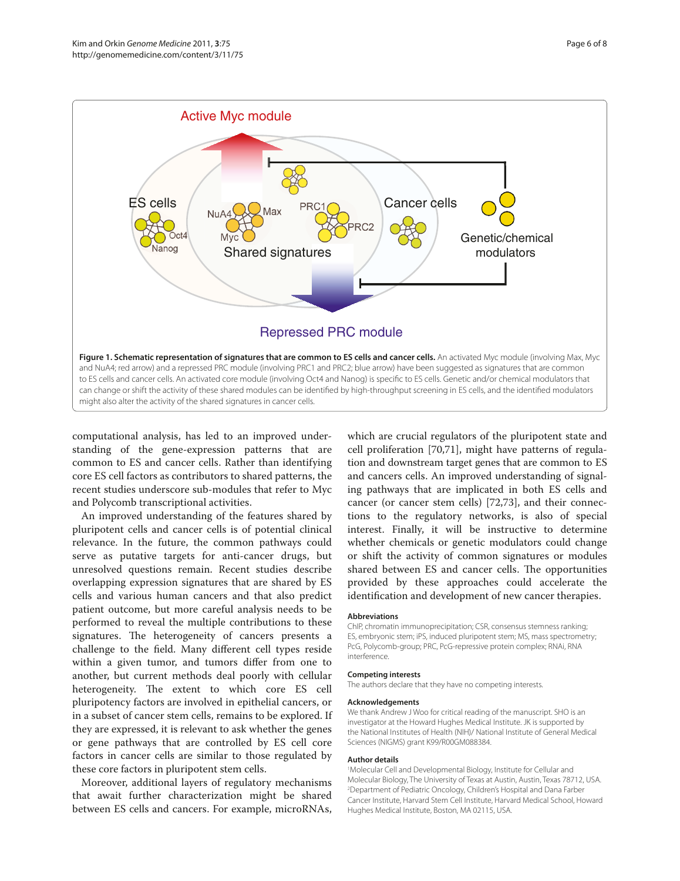

computational analysis, has led to an improved understanding of the gene-expression patterns that are common to ES and cancer cells. Rather than identifying core ES cell factors as contributors to shared patterns, the recent studies underscore sub-modules that refer to Myc and Polycomb transcriptional activities.

An improved understanding of the features shared by pluripotent cells and cancer cells is of potential clinical relevance. In the future, the common pathways could serve as putative targets for anti-cancer drugs, but unresolved questions remain. Recent studies describe overlapping expression signatures that are shared by ES cells and various human cancers and that also predict patient outcome, but more careful analysis needs to be performed to reveal the multiple contributions to these signatures. The heterogeneity of cancers presents a challenge to the field. Many different cell types reside within a given tumor, and tumors differ from one to another, but current methods deal poorly with cellular heterogeneity. The extent to which core ES cell pluripotency factors are involved in epithelial cancers, or in a subset of cancer stem cells, remains to be explored. If they are expressed, it is relevant to ask whether the genes or gene pathways that are controlled by ES cell core factors in cancer cells are similar to those regulated by these core factors in pluripotent stem cells.

Moreover, additional layers of regulatory mechanisms that await further characterization might be shared between ES cells and cancers. For example, microRNAs,

which are crucial regulators of the pluripotent state and cell proliferation [70,71], might have patterns of regulation and downstream target genes that are common to ES and cancers cells. An improved understanding of signaling pathways that are implicated in both ES cells and cancer (or cancer stem cells) [72,73], and their connections to the regulatory networks, is also of special interest. Finally, it will be instructive to determine whether chemicals or genetic modulators could change or shift the activity of common signatures or modules shared between ES and cancer cells. The opportunities provided by these approaches could accelerate the identification and development of new cancer therapies.

#### **Abbreviations**

ChIP, chromatin immunoprecipitation; CSR, consensus stemness ranking; ES, embryonic stem; iPS, induced pluripotent stem; MS, mass spectrometry; PcG, Polycomb-group; PRC, PcG-repressive protein complex; RNAi, RNA interference.

#### **Competing interests**

The authors declare that they have no competing interests.

#### **Acknowledgements**

We thank Andrew J Woo for critical reading of the manuscript. SHO is an investigator at the Howard Hughes Medical Institute. JK is supported by the National Institutes of Health (NIH)/ National Institute of General Medical Sciences (NIGMS) grant K99/R00GM088384.

#### **Author details**

1 Molecular Cell and Developmental Biology, Institute for Cellular and Molecular Biology, The University of Texas at Austin, Austin, Texas 78712, USA. 2 Department of Pediatric Oncology, Children's Hospital and Dana Farber Cancer Institute, Harvard Stem Cell Institute, Harvard Medical School, Howard Hughes Medical Institute, Boston, MA 02115, USA.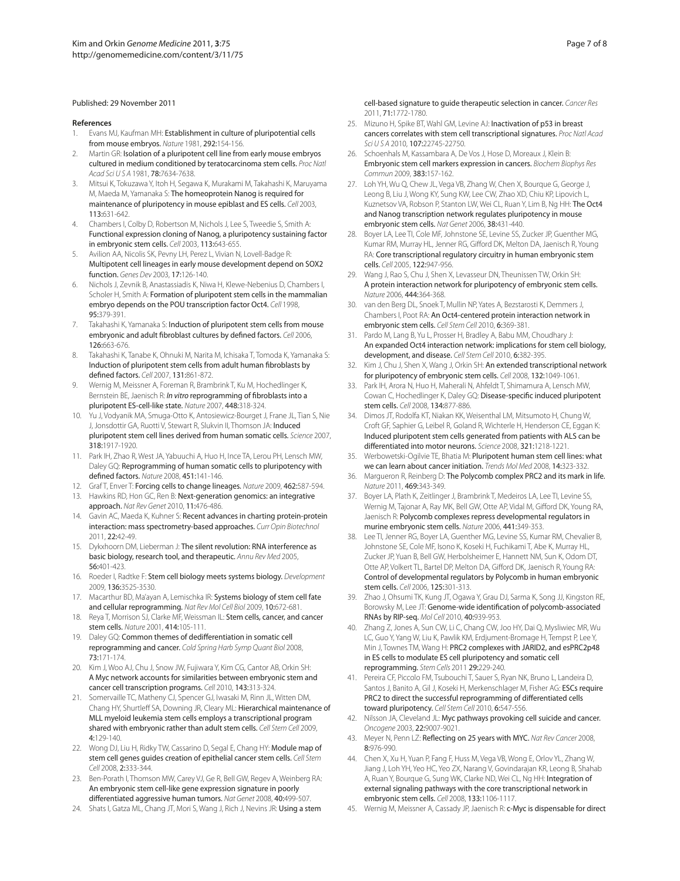#### Published: 29 November 2011

#### **References**

- Evans MJ, Kaufman MH: Establishment in culture of pluripotential cells from mouse embryos. *Nature* 1981, 292:154-156.
- 2. Martin GR: Isolation of a pluripotent cell line from early mouse embryos cultured in medium conditioned by teratocarcinoma stem cells. *Proc Natl Acad Sci U S A* 1981, 78:7634-7638.
- 3. Mitsui K, Tokuzawa Y, Itoh H, Segawa K, Murakami M, Takahashi K, Maruyama M, Maeda M, Yamanaka S: The homeoprotein Nanog is required for maintenance of pluripotency in mouse epiblast and ES cells. *Cell* 2003, 113:631-642.
- 4. Chambers I, Colby D, Robertson M, Nichols J, Lee S, Tweedie S, Smith A: Functional expression cloning of Nanog, a pluripotency sustaining factor in embryonic stem cells. *Cell* 2003, 113:643-655.
- 5. Avilion AA, Nicolis SK, Pevny LH, Perez L, Vivian N, Lovell-Badge R: Multipotent cell lineages in early mouse development depend on SOX2 function. *Genes Dev* 2003, 17:126-140.
- 6. Nichols J, Zevnik B, Anastassiadis K, Niwa H, Klewe-Nebenius D, Chambers I, Scholer H, Smith A: Formation of pluripotent stem cells in the mammalian embryo depends on the POU transcription factor Oct4. *Cell* 1998, 95:379-391.
- 7. Takahashi K, Yamanaka S: Induction of pluripotent stem cells from mouse embryonic and adult fibroblast cultures by defined factors. *Cell* 2006, 126:663-676.
- 8. Takahashi K, Tanabe K, Ohnuki M, Narita M, Ichisaka T, Tomoda K, Yamanaka S: Induction of pluripotent stem cells from adult human fibroblasts by defined factors. *Cell* 2007, 131:861-872.
- 9. Wernig M, Meissner A, Foreman R, Brambrink T, Ku M, Hochedlinger K, Bernstein BE, Jaenisch R: *In vitro* reprogramming of fibroblasts into a pluripotent ES-cell-like state. *Nature* 2007, 448:318-324.
- 10. Yu J, Vodyanik MA, Smuga-Otto K, Antosiewicz-Bourget J, Frane JL, Tian S, Nie J, Jonsdottir GA, Ruotti V, Stewart R, Slukvin II, Thomson JA: Induced pluripotent stem cell lines derived from human somatic cells. *Science* 2007, 318:1917-1920.
- 11. Park IH, Zhao R, West JA, Yabuuchi A, Huo H, Ince TA, Lerou PH, Lensch MW, Daley GQ: Reprogramming of human somatic cells to pluripotency with defined factors. *Nature* 2008, 451:141-146.
- 12. Graf T, Enver T: Forcing cells to change lineages. *Nature* 2009, 462:587-594.
- 13. Hawkins RD, Hon GC, Ren B: Next-generation genomics: an integrative approach. *Nat Rev Genet* 2010, 11:476-486.
- Gavin AC, Maeda K, Kuhner S: Recent advances in charting protein-protein interaction: mass spectrometry-based approaches. *Curr Opin Biotechnol*  2011, 22:42-49.
- 15. Dykxhoorn DM, Lieberman J: The silent revolution: RNA interference as basic biology, research tool, and therapeutic. *Annu Rev Med* 2005, 56:401-423.
- 16. Roeder I, Radtke F: Stem cell biology meets systems biology. *Development*  2009, 136:3525-3530.
- 17. Macarthur BD, Ma'ayan A, Lemischka IR: Systems biology of stem cell fate and cellular reprogramming. *Nat Rev Mol Cell Biol* 2009, 10:672-681.
- 18. Reya T, Morrison SJ, Clarke MF, Weissman IL: Stem cells, cancer, and cancer stem cells. *Nature* 2001, 414:105-111.
- 19. Daley GQ: Common themes of dedifferentiation in somatic cell reprogramming and cancer. *Cold Spring Harb Symp Quant Biol* 2008, 73:171-174.
- 20. Kim J, Woo AJ, Chu J, Snow JW, Fujiwara Y, Kim CG, Cantor AB, Orkin SH: A Myc network accounts for similarities between embryonic stem and cancer cell transcription programs. *Cell* 2010, 143:313-324.
- 21. Somervaille TC, Matheny CJ, Spencer GJ, Iwasaki M, Rinn JL, Witten DM, Chang HY, Shurtleff SA, Downing JR, Cleary ML: Hierarchical maintenance of MLL myeloid leukemia stem cells employs a transcriptional program shared with embryonic rather than adult stem cells. *Cell Stem Cell* 2009, 4:129-140.
- 22. Wong DJ, Liu H, Ridky TW, Cassarino D, Segal E, Chang HY: Module map of stem cell genes guides creation of epithelial cancer stem cells. *Cell Stem Cell* 2008, 2:333-344.
- 23. Ben-Porath I, Thomson MW, Carey VJ, Ge R, Bell GW, Regev A, Weinberg RA: An embryonic stem cell-like gene expression signature in poorly differentiated aggressive human tumors. *Nat Genet* 2008, 40:499-507.
- 24. Shats I, Gatza ML, Chang JT, Mori S, Wang J, Rich J, Nevins JR: Using a stem

cell-based signature to guide therapeutic selection in cancer. *Cancer Res*  2011, 71:1772-1780.

- 25. Mizuno H, Spike BT, Wahl GM, Levine AJ: Inactivation of p53 in breast cancers correlates with stem cell transcriptional signatures. *Proc Natl Acad Sci U S A* 2010, 107:22745-22750.
- 26. Schoenhals M, Kassambara A, De Vos J, Hose D, Moreaux J, Klein B: Embryonic stem cell markers expression in cancers. *Biochem Biophys Res Commun* 2009, 383:157-162.
- 27. Loh YH, Wu Q, Chew JL, Vega VB, Zhang W, Chen X, Bourque G, George J, Leong B, Liu J, Wong KY, Sung KW, Lee CW, Zhao XD, Chiu KP, Lipovich L, Kuznetsov VA, Robson P, Stanton LW, Wei CL, Ruan Y, Lim B, Ng HH: The Oct4 and Nanog transcription network regulates pluripotency in mouse embryonic stem cells. *Nat Genet* 2006, 38:431-440.
- 28. Boyer LA, Lee TI, Cole MF, Johnstone SE, Levine SS, Zucker JP, Guenther MG, Kumar RM, Murray HL, Jenner RG, Gifford DK, Melton DA, Jaenisch R, Young RA: Core transcriptional regulatory circuitry in human embryonic stem cells. *Cell* 2005, 122:947-956.
- 29. Wang J, Rao S, Chu J, Shen X, Levasseur DN, Theunissen TW, Orkin SH: A protein interaction network for pluripotency of embryonic stem cells. *Nature* 2006, 444:364-368.
- 30. van den Berg DL, Snoek T, Mullin NP, Yates A, Bezstarosti K, Demmers J, Chambers I, Poot RA: An Oct4-centered protein interaction network in embryonic stem cells. *Cell Stem Cell* 2010, 6:369-381.
- Pardo M, Lang B, Yu L, Prosser H, Bradley A, Babu MM, Choudhary J: An expanded Oct4 interaction network: implications for stem cell biology, development, and disease. *Cell Stem Cell* 2010, 6:382-395.
- 32. Kim J, Chu J, Shen X, Wang J, Orkin SH: An extended transcriptional network for pluripotency of embryonic stem cells. *Cell* 2008, 132:1049-1061.
- 33. Park IH, Arora N, Huo H, Maherali N, Ahfeldt T, Shimamura A, Lensch MW, Cowan C, Hochedlinger K, Daley GQ: Disease-specific induced pluripotent stem cells. *Cell* 2008, 134:877-886.
- 34. Dimos JT, Rodolfa KT, Niakan KK, Weisenthal LM, Mitsumoto H, Chung W, Croft GF, Saphier G, Leibel R, Goland R, Wichterle H, Henderson CE, Eggan K: Induced pluripotent stem cells generated from patients with ALS can be differentiated into motor neurons. *Science* 2008, 321:1218-1221.
- 35. Werbowetski-Ogilvie TE, Bhatia M: Pluripotent human stem cell lines: what we can learn about cancer initiation. *Trends Mol Med* 2008, 14:323-332.
- 36. Margueron R, Reinberg D: The Polycomb complex PRC2 and its mark in life. *Nature* 2011, 469:343-349.
- 37. Boyer LA, Plath K, Zeitlinger J, Brambrink T, Medeiros LA, Lee TI, Levine SS, Wernig M, Tajonar A, Ray MK, Bell GW, Otte AP, Vidal M, Gifford DK, Young RA, Jaenisch R: Polycomb complexes repress developmental regulators in murine embryonic stem cells. *Nature* 2006, 441:349-353.
- 38. Lee TI, Jenner RG, Boyer LA, Guenther MG, Levine SS, Kumar RM, Chevalier B, Johnstone SE, Cole MF, Isono K, Koseki H, Fuchikami T, Abe K, Murray HL, Zucker JP, Yuan B, Bell GW, Herbolsheimer E, Hannett NM, Sun K, Odom DT, Otte AP, Volkert TL, Bartel DP, Melton DA, Gifford DK, Jaenisch R, Young RA: Control of developmental regulators by Polycomb in human embryonic stem cells. *Cell* 2006, 125:301-313.
- 39. Zhao J, Ohsumi TK, Kung JT, Ogawa Y, Grau DJ, Sarma K, Song JJ, Kingston RE, Borowsky M, Lee JT: Genome-wide identification of polycomb-associated RNAs by RIP-seq. *Mol Cell* 2010, 40:939-953.
- Zhang Z, Jones A, Sun CW, Li C, Chang CW, Joo HY, Dai Q, Mysliwiec MR, Wu LC, Guo Y, Yang W, Liu K, Pawlik KM, Erdjument-Bromage H, Tempst P, Lee Y, Min J, Townes TM, Wang H: PRC2 complexes with JARID2, and esPRC2p48 in ES cells to modulate ES cell pluripotency and somatic cell reprogramming. *Stem Cells* 2011 29:229-240.
- 41. Pereira CF, Piccolo FM, Tsubouchi T, Sauer S, Ryan NK, Bruno L, Landeira D, Santos J, Banito A, Gil J, Koseki H, Merkenschlager M, Fisher AG: ESCs require PRC2 to direct the successful reprogramming of differentiated cells toward pluripotency. *Cell Stem Cell* 2010, 6:547-556.
- 42. Nilsson JA, Cleveland JL: Myc pathways provoking cell suicide and cancer. *Oncogene* 2003, 22:9007-9021.
- 43. Meyer N, Penn LZ: Reflecting on 25 years with MYC. *Nat Rev Cancer* 2008, 8:976-990.
- 44. Chen X, Xu H, Yuan P, Fang F, Huss M, Vega VB, Wong E, Orlov YL, Zhang W, Jiang J, Loh YH, Yeo HC, Yeo ZX, Narang V, Govindarajan KR, Leong B, Shahab A, Ruan Y, Bourque G, Sung WK, Clarke ND, Wei CL, Ng HH: Integration of external signaling pathways with the core transcriptional network in embryonic stem cells. *Cell* 2008, 133:1106-1117.
- 45. Wernig M, Meissner A, Cassady JP, Jaenisch R: c-Myc is dispensable for direct